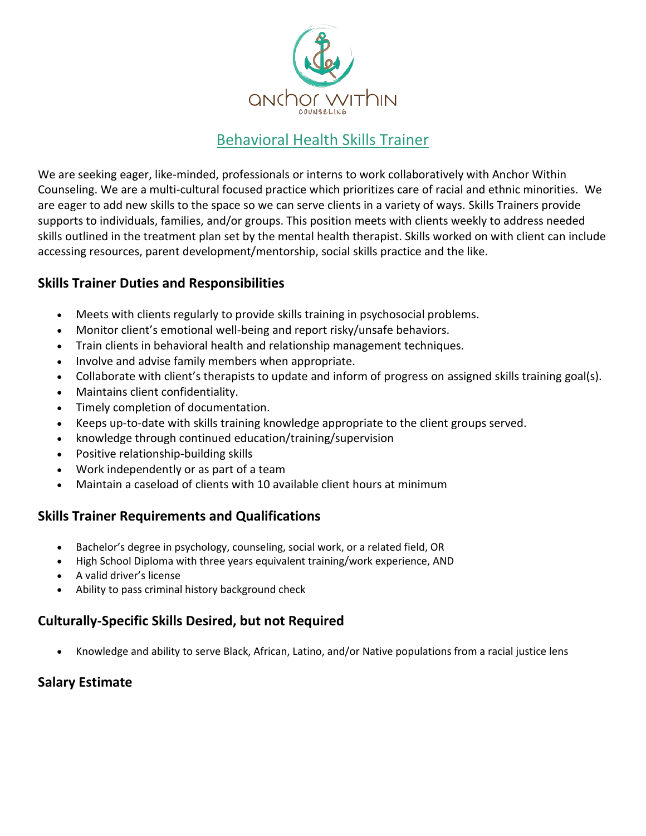

# Behavioral Health Skills Trainer

We are seeking eager, like-minded, professionals or interns to work collaboratively with Anchor Within Counseling. We are a multi-cultural focused practice which prioritizes care of racial and ethnic minorities. We are eager to add new skills to the space so we can serve clients in a variety of ways. Skills Trainers provide supports to individuals, families, and/or groups. This position meets with clients weekly to address needed skills outlined in the treatment plan set by the mental health therapist. Skills worked on with client can include accessing resources, parent development/mentorship, social skills practice and the like.

### **Skills Trainer Duties and Responsibilities**

- Meets with clients regularly to provide skills training in psychosocial problems.
- Monitor client's emotional well-being and report risky/unsafe behaviors.
- Train clients in behavioral health and relationship management techniques.
- Involve and advise family members when appropriate.
- Collaborate with client's therapists to update and inform of progress on assigned skills training goal(s).
- Maintains client confidentiality.
- Timely completion of documentation.
- Keeps up-to-date with skills training knowledge appropriate to the client groups served.
- knowledge through continued education/training/supervision
- Positive relationship-building skills
- Work independently or as part of a team
- Maintain a caseload of clients with 10 available client hours at minimum

### **Skills Trainer Requirements and Qualifications**

- Bachelor's degree in psychology, counseling, social work, or a related field, OR
- High School Diploma with three years equivalent training/work experience, AND
- A valid driver's license
- Ability to pass criminal history background check

### **Culturally-Specific Skills Desired, but not Required**

• Knowledge and ability to serve Black, African, Latino, and/or Native populations from a racial justice lens

### **Salary Estimate**